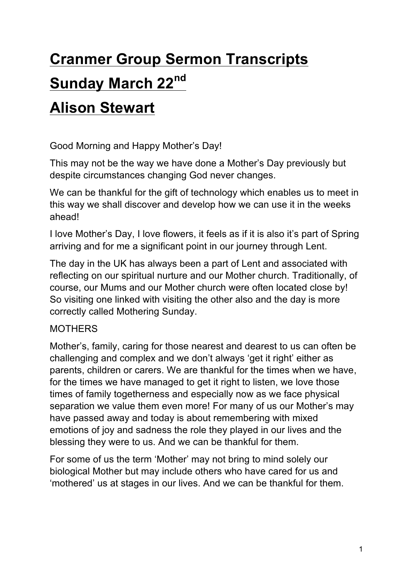# **Cranmer Group Sermon Transcripts Sunday March 22nd**

# **Alison Stewart**

Good Morning and Happy Mother's Day!

This may not be the way we have done a Mother's Day previously but despite circumstances changing God never changes.

We can be thankful for the gift of technology which enables us to meet in this way we shall discover and develop how we can use it in the weeks ahead!

I love Mother's Day, I love flowers, it feels as if it is also it's part of Spring arriving and for me a significant point in our journey through Lent.

The day in the UK has always been a part of Lent and associated with reflecting on our spiritual nurture and our Mother church. Traditionally, of course, our Mums and our Mother church were often located close by! So visiting one linked with visiting the other also and the day is more correctly called Mothering Sunday.

## **MOTHERS**

Mother's, family, caring for those nearest and dearest to us can often be challenging and complex and we don't always 'get it right' either as parents, children or carers. We are thankful for the times when we have, for the times we have managed to get it right to listen, we love those times of family togetherness and especially now as we face physical separation we value them even more! For many of us our Mother's may have passed away and today is about remembering with mixed emotions of joy and sadness the role they played in our lives and the blessing they were to us. And we can be thankful for them.

For some of us the term 'Mother' may not bring to mind solely our biological Mother but may include others who have cared for us and 'mothered' us at stages in our lives. And we can be thankful for them.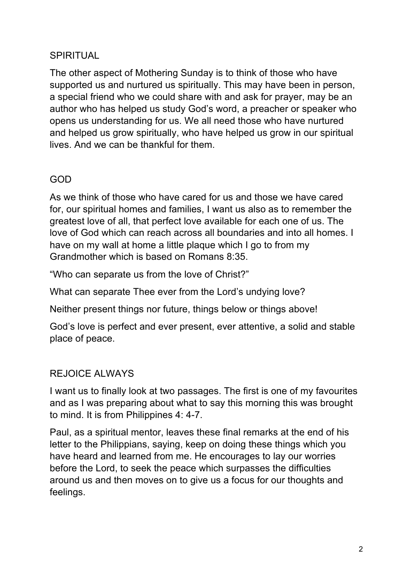#### SPIRITUAL

The other aspect of Mothering Sunday is to think of those who have supported us and nurtured us spiritually. This may have been in person, a special friend who we could share with and ask for prayer, may be an author who has helped us study God's word, a preacher or speaker who opens us understanding for us. We all need those who have nurtured and helped us grow spiritually, who have helped us grow in our spiritual lives. And we can be thankful for them.

#### GOD

As we think of those who have cared for us and those we have cared for, our spiritual homes and families, I want us also as to remember the greatest love of all, that perfect love available for each one of us. The love of God which can reach across all boundaries and into all homes. I have on my wall at home a little plaque which I go to from my Grandmother which is based on Romans 8:35.

"Who can separate us from the love of Christ?"

What can separate Thee ever from the Lord's undying love?

Neither present things nor future, things below or things above!

God's love is perfect and ever present, ever attentive, a solid and stable place of peace.

### REJOICE ALWAYS

I want us to finally look at two passages. The first is one of my favourites and as I was preparing about what to say this morning this was brought to mind. It is from Philippines 4: 4-7.

Paul, as a spiritual mentor, leaves these final remarks at the end of his letter to the Philippians, saying, keep on doing these things which you have heard and learned from me. He encourages to lay our worries before the Lord, to seek the peace which surpasses the difficulties around us and then moves on to give us a focus for our thoughts and feelings.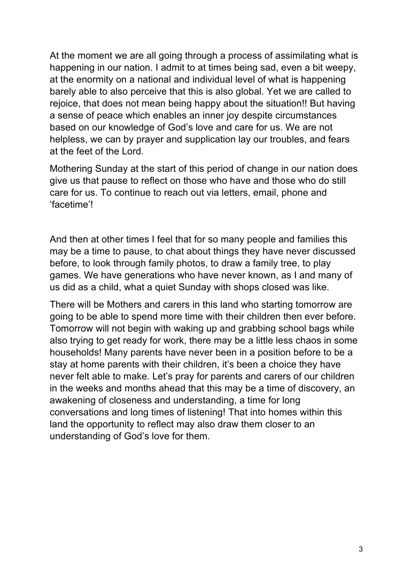At the moment we are all going through a process of assimilating what is happening in our nation. I admit to at times being sad, even a bit weepy, at the enormity on a national and individual level of what is happening barely able to also perceive that this is also global. Yet we are called to rejoice, that does not mean being happy about the situation!! But having a sense of peace which enables an inner joy despite circumstances based on our knowledge of God's love and care for us. We are not helpless, we can by prayer and supplication lay our troubles, and fears at the feet of the Lord.

Mothering Sunday at the start of this period of change in our nation does give us that pause to reflect on those who have and those who do still care for us. To continue to reach out via letters, email, phone and 'facetime'!

And then at other times I feel that for so many people and families this may be a time to pause, to chat about things they have never discussed before, to look through family photos, to draw a family tree, to play games. We have generations who have never known, as I and many of us did as a child, what a quiet Sunday with shops closed was like.

There will be Mothers and carers in this land who starting tomorrow are going to be able to spend more time with their children then ever before. Tomorrow will not begin with waking up and grabbing school bags while also trying to get ready for work, there may be a little less chaos in some households! Many parents have never been in a position before to be a stay at home parents with their children, it's been a choice they have never felt able to make. Let's pray for parents and carers of our children in the weeks and months ahead that this may be a time of discovery, an awakening of closeness and understanding, a time for long conversations and long times of listening! That into homes within this land the opportunity to reflect may also draw them closer to an understanding of God's love for them.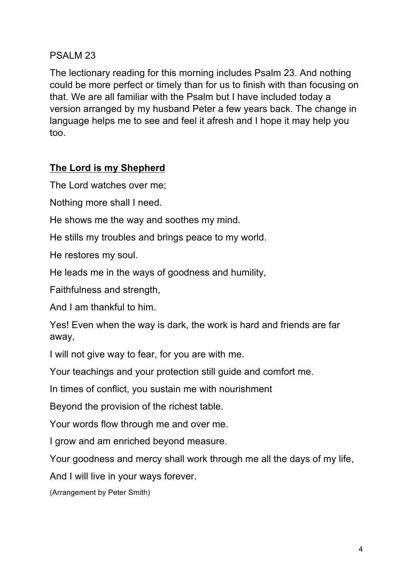#### PSALM 23

The lectionary reading for this morning includes Psalm 23. And nothing could be more perfect or timely than for us to finish with than focusing on that. We are all familiar with the Psalm but I have included today a version arranged by my husband Peter a few years back. The change in language helps me to see and feel it afresh and I hope it may help you too.

#### **The Lord is my Shepherd**

The Lord watches over me;

Nothing more shall I need.

He shows me the way and soothes my mind.

He stills my troubles and brings peace to my world.

He restores my soul.

He leads me in the ways of goodness and humility,

Faithfulness and strength,

And I am thankful to him.

Yes! Even when the way is dark, the work is hard and friends are far away,

I will not give way to fear, for you are with me.

Your teachings and your protection still guide and comfort me.

In times of conflict, you sustain me with nourishment

Beyond the provision of the richest table.

Your words flow through me and over me.

I grow and am enriched beyond measure.

Your goodness and mercy shall work through me all the days of my life,

And I will live in your ways forever.

(Arrangement by Peter Smith)